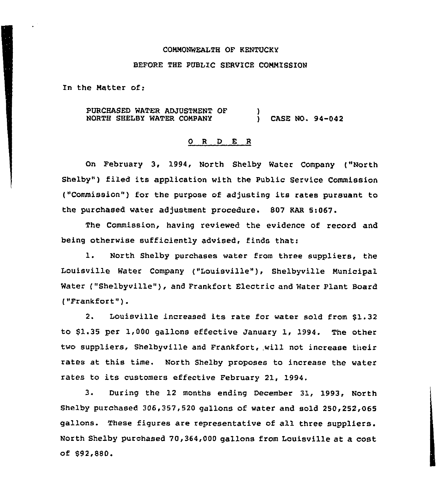#### CONNONWEALTH OF KENTUCKY

## BEFORE THE PUBLIC SERVICE COMMISSION

In the Natter of:

PURCHASED WATER ADJUSTNENT OF NORTH SHELBY WATER CONPANY ) ) CASE NO. 94-042

### 0 R <sup>D</sup> E R

On February 3, 1994, North Shelby Water Company ("North Shelby") filed its application with the Public Service Commission ("Commission") for the purpose of adjusting its rates pursuant to the purchased water adjustment procedure. 807 KAR 5:067.

The Commission, having reviewed the evidence of record and being otherwise sufficiently advised, finds that:

1. North Shelby purchases water from three suppliers, the Louisville Water Company ("Louisville" ), Shelbyville Municipal Water ("Shelbyville"), and Frankfort Electric and Water Plant Board ("Frankfort" ).

2. Louisville increased its rate for water sold from 81.32 to 81.35 per 1,000 gallons effective January 1, 1994. The other two suppliers, Shelbyville and Frankfort, will not increase their rates at this time. North Shelby proposes to increase the water rates to its customers effective February 21, 1994.

3. During the 12 months ending December 31, 1993, North Shelby purchased 306,357,520 gallons of water and sold 250,252,065 gallons. These figures are representative of all three suppliers. North Shelby purchased 70,364,000 gallons from Louisville at a cost of 892,880.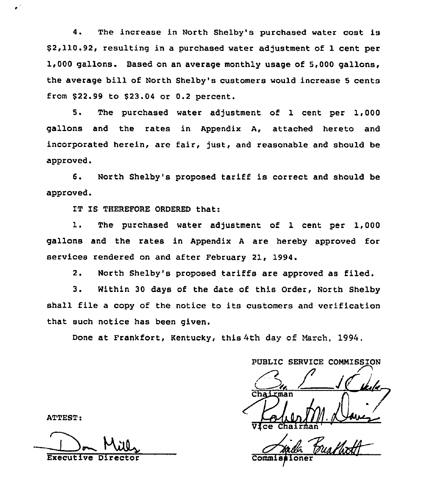4. The increase in North Shelby's purchased water cost is \$ 2,110.92, resulting in a purchased water adjustment of 1 cent per 1,000 gallons. Based on an average monthly usage of 5,000 gallons, the average bill of North Shelby's customers would increase <sup>5</sup> cents from \$22.99 to \$23.04 or 0.2 percent.

5. The purchased water adjustment of 1 cent per 1,000 gallons and the rates in Appendix A, attached hereto and incorporated herein, are fair, fust, and reasonable and should be approved.

6. North Shelby's proposed tariff is correct and should be approved.

IT IS THEREFORE ORDERED that:

1. The purchased water adjustment of 1 cent per 1,000 gallons and the rates in Appendix <sup>A</sup> are hereby approved for services rendered on and after February 21, 1994

 $2.$ North Shelby's proposed tariffs are approved as filed.

3. Within <sup>30</sup> days of the date of this Order, North Shelby shall file a copy of the notice to its customers and verification that such notice has been given.

Done at Frankfort, Kentucky, this 4th day of March, 1994.

PUBLIC SERVICE COMMISSION .. / JFdr.  $\sqrt{\frac{G_{\text{N}}}{\text{V} \cdot \text{ce}}}\sqrt{\frac{1}{M}\sqrt{1-\frac{1}{M}}$ Vice Chairman' Messing

Commi

ATTEST:

Executive Di